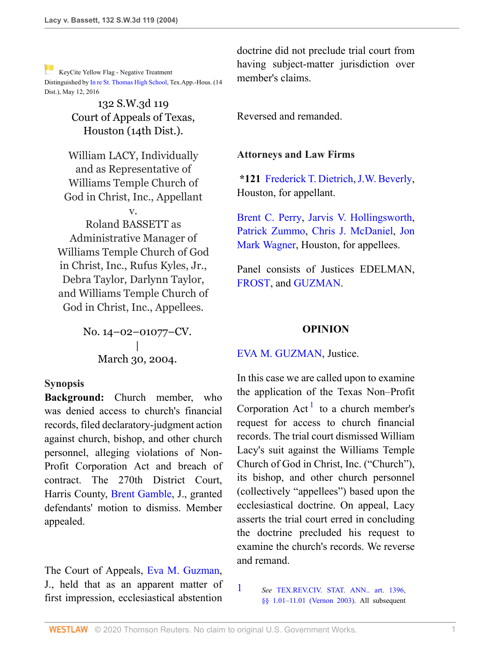[K](http://www.westlaw.com/Link/RelatedInformation/Flag?documentGuid=Ia9eb3717e7e211d99439b076ef9ec4de&transitionType=Document&originationContext=docHeaderFlag&Rank=0&rs=cblt1.0&vr=3.0&contextData=(sc.UserEnteredCitation))eyCite Yellow Flag - Negative Treatment Distinguished by [In re St. Thomas High School, T](https://www.westlaw.com/Document/I3584f30018ed11e6a647af7ccdd8c5d2/View/FullText.html?navigationPath=RelatedInfo%2Fv4%2Fkeycite%2Fnav%2F%3Fguid%3DI3584f30018ed11e6a647af7ccdd8c5d2%26ss%3D2004272743%26ds%3D2038850935%26origDocGuid%3DIa9eb3717e7e211d99439b076ef9ec4de&listSource=RelatedInfo&list=NegativeCitingReferences&rank=0&originationContext=docHeader&transitionType=NegativeTreatment&contextData=%28sc.UserEnteredCitation%29&VR=3.0&RS=cblt1.0 )ex.App.-Hous. (14 Dist.), May 12, 2016

> 132 S.W.3d 119 Court of Appeals of Texas, Houston (14th Dist.).

William LACY, Individually and as Representative of Williams Temple Church of God in Christ, Inc., Appellant

v.

Roland BASSETT as Administrative Manager of Williams Temple Church of God in Christ, Inc., Rufus Kyles, Jr., Debra Taylor, Darlynn Taylor, and Williams Temple Church of God in Christ, Inc., Appellees.

> No. 14–02–01077–CV. | March 30, 2004.

### **Synopsis**

**Background:** Church member, who was denied access to church's financial records, filed declaratory-judgment action against church, bishop, and other church personnel, alleging violations of Non-Profit Corporation Act and breach of contract. The 270th District Court, Harris County, [Brent Gamble,](http://www.westlaw.com/Link/Document/FullText?findType=h&pubNum=176284&cite=0161194301&originatingDoc=Ia9eb3717e7e211d99439b076ef9ec4de&refType=RQ&originationContext=document&vr=3.0&rs=cblt1.0&transitionType=DocumentItem&contextData=(sc.UserEnteredCitation)) J., granted defendants' motion to dismiss. Member appealed.

The Court of Appeals, [Eva M. Guzman,](http://www.westlaw.com/Link/Document/FullText?findType=h&pubNum=176284&cite=0316740401&originatingDoc=Ia9eb3717e7e211d99439b076ef9ec4de&refType=RQ&originationContext=document&vr=3.0&rs=cblt1.0&transitionType=DocumentItem&contextData=(sc.UserEnteredCitation)) J., held that as an apparent matter of first impression, ecclesiastical abstention

doctrine did not preclude trial court from having subject-matter jurisdiction over member's claims.

Reversed and remanded.

### **Attorneys and Law Firms**

**\*121** [Frederick T. Dietrich](http://www.westlaw.com/Link/Document/FullText?findType=h&pubNum=176284&cite=0282955901&originatingDoc=Ia9eb3717e7e211d99439b076ef9ec4de&refType=RQ&originationContext=document&vr=3.0&rs=cblt1.0&transitionType=DocumentItem&contextData=(sc.UserEnteredCitation)), [J.W. Beverly,](http://www.westlaw.com/Link/Document/FullText?findType=h&pubNum=176284&cite=0256064401&originatingDoc=Ia9eb3717e7e211d99439b076ef9ec4de&refType=RQ&originationContext=document&vr=3.0&rs=cblt1.0&transitionType=DocumentItem&contextData=(sc.UserEnteredCitation)) Houston, for appellant.

[Brent C. Perry,](http://www.westlaw.com/Link/Document/FullText?findType=h&pubNum=176284&cite=0122492001&originatingDoc=Ia9eb3717e7e211d99439b076ef9ec4de&refType=RQ&originationContext=document&vr=3.0&rs=cblt1.0&transitionType=DocumentItem&contextData=(sc.UserEnteredCitation)) [Jarvis V. Hollingsworth,](http://www.westlaw.com/Link/Document/FullText?findType=h&pubNum=176284&cite=0324728401&originatingDoc=Ia9eb3717e7e211d99439b076ef9ec4de&refType=RQ&originationContext=document&vr=3.0&rs=cblt1.0&transitionType=DocumentItem&contextData=(sc.UserEnteredCitation)) [Patrick Zummo,](http://www.westlaw.com/Link/Document/FullText?findType=h&pubNum=176284&cite=0139287201&originatingDoc=Ia9eb3717e7e211d99439b076ef9ec4de&refType=RQ&originationContext=document&vr=3.0&rs=cblt1.0&transitionType=DocumentItem&contextData=(sc.UserEnteredCitation)) [Chris J. McDaniel,](http://www.westlaw.com/Link/Document/FullText?findType=h&pubNum=176284&cite=0105075601&originatingDoc=Ia9eb3717e7e211d99439b076ef9ec4de&refType=RQ&originationContext=document&vr=3.0&rs=cblt1.0&transitionType=DocumentItem&contextData=(sc.UserEnteredCitation)) [Jon](http://www.westlaw.com/Link/Document/FullText?findType=h&pubNum=176284&cite=0153820701&originatingDoc=Ia9eb3717e7e211d99439b076ef9ec4de&refType=RQ&originationContext=document&vr=3.0&rs=cblt1.0&transitionType=DocumentItem&contextData=(sc.UserEnteredCitation)) [Mark Wagner](http://www.westlaw.com/Link/Document/FullText?findType=h&pubNum=176284&cite=0153820701&originatingDoc=Ia9eb3717e7e211d99439b076ef9ec4de&refType=RQ&originationContext=document&vr=3.0&rs=cblt1.0&transitionType=DocumentItem&contextData=(sc.UserEnteredCitation)), Houston, for appellees.

Panel consists of Justices EDELMAN, [FROST](http://www.westlaw.com/Link/Document/FullText?findType=h&pubNum=176284&cite=0161489901&originatingDoc=Ia9eb3717e7e211d99439b076ef9ec4de&refType=RQ&originationContext=document&vr=3.0&rs=cblt1.0&transitionType=DocumentItem&contextData=(sc.UserEnteredCitation)), and [GUZMAN.](http://www.westlaw.com/Link/Document/FullText?findType=h&pubNum=176284&cite=0500017899&originatingDoc=Ia9eb3717e7e211d99439b076ef9ec4de&refType=RQ&originationContext=document&vr=3.0&rs=cblt1.0&transitionType=DocumentItem&contextData=(sc.UserEnteredCitation))

### <span id="page-0-1"></span>**OPINION**

### [EVA M. GUZMAN](http://www.westlaw.com/Link/Document/FullText?findType=h&pubNum=176284&cite=0316740401&originatingDoc=Ia9eb3717e7e211d99439b076ef9ec4de&refType=RQ&originationContext=document&vr=3.0&rs=cblt1.0&transitionType=DocumentItem&contextData=(sc.UserEnteredCitation)), Justice.

In this case we are called upon to examine the application of the Texas Non–Profit Corporation  $Act^1$  $Act^1$  to a church member's request for access to church financial records. The trial court dismissed William Lacy's suit against the Williams Temple Church of God in Christ, Inc. ("Church"), its bishop, and other church personnel (collectively "appellees") based upon the ecclesiastical doctrine. On appeal, Lacy asserts the trial court erred in concluding the doctrine precluded his request to examine the church's records. We reverse and remand.

<span id="page-0-0"></span>[1](#page-0-1) *See* [TEX.REV.CIV. STAT. ANN.. art. 1396,](http://www.westlaw.com/Link/Document/FullText?findType=L&pubNum=1000188&cite=TXCSART1396&originatingDoc=Ia9eb3717e7e211d99439b076ef9ec4de&refType=LQ&originationContext=document&vr=3.0&rs=cblt1.0&transitionType=DocumentItem&contextData=(sc.UserEnteredCitation)) [§§ 1.01](http://www.westlaw.com/Link/Document/FullText?findType=L&pubNum=1000188&cite=TXCSART1396&originatingDoc=Ia9eb3717e7e211d99439b076ef9ec4de&refType=LQ&originationContext=document&vr=3.0&rs=cblt1.0&transitionType=DocumentItem&contextData=(sc.UserEnteredCitation))–[11.01 \(Vernon 2003\)](http://www.westlaw.com/Link/Document/FullText?findType=L&pubNum=1000188&cite=TXCSART1396&originatingDoc=Ia9eb3717e7e211d99439b076ef9ec4de&refType=LQ&originationContext=document&vr=3.0&rs=cblt1.0&transitionType=DocumentItem&contextData=(sc.UserEnteredCitation)). All subsequent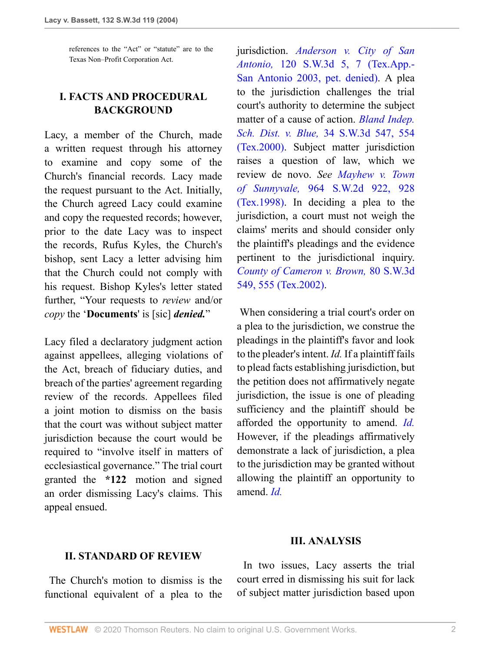references to the "Act" or "statute" are to the Texas Non–Profit Corporation Act.

# **I. FACTS AND PROCEDURAL BACKGROUND**

Lacy, a member of the Church, made a written request through his attorney to examine and copy some of the Church's financial records. Lacy made the request pursuant to the Act. Initially, the Church agreed Lacy could examine and copy the requested records; however, prior to the date Lacy was to inspect the records, Rufus Kyles, the Church's bishop, sent Lacy a letter advising him that the Church could not comply with his request. Bishop Kyles's letter stated further, "Your requests to *review* and/or *copy* the '**Documents**' is [sic] *denied.*"

Lacy filed a declaratory judgment action against appellees, alleging violations of the Act, breach of fiduciary duties, and breach of the parties' agreement regarding review of the records. Appellees filed a joint motion to dismiss on the basis that the court was without subject matter jurisdiction because the court would be required to "involve itself in matters of ecclesiastical governance." The trial court granted the **\*122** motion and signed an order dismissing Lacy's claims. This appeal ensued.

jurisdiction. *[Anderson v. City of San](http://www.westlaw.com/Link/Document/FullText?findType=Y&serNum=2003452363&pubNum=0004644&originatingDoc=Ia9eb3717e7e211d99439b076ef9ec4de&refType=RP&fi=co_pp_sp_4644_7&originationContext=document&vr=3.0&rs=cblt1.0&transitionType=DocumentItem&contextData=(sc.UserEnteredCitation)#co_pp_sp_4644_7) Antonio,* [120 S.W.3d 5, 7 \(Tex.App.-](http://www.westlaw.com/Link/Document/FullText?findType=Y&serNum=2003452363&pubNum=0004644&originatingDoc=Ia9eb3717e7e211d99439b076ef9ec4de&refType=RP&fi=co_pp_sp_4644_7&originationContext=document&vr=3.0&rs=cblt1.0&transitionType=DocumentItem&contextData=(sc.UserEnteredCitation)#co_pp_sp_4644_7) [San Antonio 2003, pet. denied\).](http://www.westlaw.com/Link/Document/FullText?findType=Y&serNum=2003452363&pubNum=0004644&originatingDoc=Ia9eb3717e7e211d99439b076ef9ec4de&refType=RP&fi=co_pp_sp_4644_7&originationContext=document&vr=3.0&rs=cblt1.0&transitionType=DocumentItem&contextData=(sc.UserEnteredCitation)#co_pp_sp_4644_7) A plea to the jurisdiction challenges the trial court's authority to determine the subject matter of a cause of action. *[Bland Indep.](http://www.westlaw.com/Link/Document/FullText?findType=Y&serNum=2000633986&pubNum=0004644&originatingDoc=Ia9eb3717e7e211d99439b076ef9ec4de&refType=RP&fi=co_pp_sp_4644_554&originationContext=document&vr=3.0&rs=cblt1.0&transitionType=DocumentItem&contextData=(sc.UserEnteredCitation)#co_pp_sp_4644_554) Sch. Dist. v. Blue,* [34 S.W.3d 547, 554](http://www.westlaw.com/Link/Document/FullText?findType=Y&serNum=2000633986&pubNum=0004644&originatingDoc=Ia9eb3717e7e211d99439b076ef9ec4de&refType=RP&fi=co_pp_sp_4644_554&originationContext=document&vr=3.0&rs=cblt1.0&transitionType=DocumentItem&contextData=(sc.UserEnteredCitation)#co_pp_sp_4644_554) [\(Tex.2000\)](http://www.westlaw.com/Link/Document/FullText?findType=Y&serNum=2000633986&pubNum=0004644&originatingDoc=Ia9eb3717e7e211d99439b076ef9ec4de&refType=RP&fi=co_pp_sp_4644_554&originationContext=document&vr=3.0&rs=cblt1.0&transitionType=DocumentItem&contextData=(sc.UserEnteredCitation)#co_pp_sp_4644_554). Subject matter jurisdiction raises a question of law, which we review de novo. *See [Mayhew v. Town](http://www.westlaw.com/Link/Document/FullText?findType=Y&serNum=1998069373&pubNum=0000713&originatingDoc=Ia9eb3717e7e211d99439b076ef9ec4de&refType=RP&fi=co_pp_sp_713_928&originationContext=document&vr=3.0&rs=cblt1.0&transitionType=DocumentItem&contextData=(sc.UserEnteredCitation)#co_pp_sp_713_928) of Sunnyvale,* [964 S.W.2d 922, 928](http://www.westlaw.com/Link/Document/FullText?findType=Y&serNum=1998069373&pubNum=0000713&originatingDoc=Ia9eb3717e7e211d99439b076ef9ec4de&refType=RP&fi=co_pp_sp_713_928&originationContext=document&vr=3.0&rs=cblt1.0&transitionType=DocumentItem&contextData=(sc.UserEnteredCitation)#co_pp_sp_713_928) [\(Tex.1998\)](http://www.westlaw.com/Link/Document/FullText?findType=Y&serNum=1998069373&pubNum=0000713&originatingDoc=Ia9eb3717e7e211d99439b076ef9ec4de&refType=RP&fi=co_pp_sp_713_928&originationContext=document&vr=3.0&rs=cblt1.0&transitionType=DocumentItem&contextData=(sc.UserEnteredCitation)#co_pp_sp_713_928). In deciding a plea to the jurisdiction, a court must not weigh the claims' merits and should consider only the plaintiff's pleadings and the evidence pertinent to the jurisdictional inquiry. *[County of Cameron v. Brown,](http://www.westlaw.com/Link/Document/FullText?findType=Y&serNum=2002323472&pubNum=0004644&originatingDoc=Ia9eb3717e7e211d99439b076ef9ec4de&refType=RP&fi=co_pp_sp_4644_555&originationContext=document&vr=3.0&rs=cblt1.0&transitionType=DocumentItem&contextData=(sc.UserEnteredCitation)#co_pp_sp_4644_555)* 80 S.W.3d [549, 555 \(Tex.2002\).](http://www.westlaw.com/Link/Document/FullText?findType=Y&serNum=2002323472&pubNum=0004644&originatingDoc=Ia9eb3717e7e211d99439b076ef9ec4de&refType=RP&fi=co_pp_sp_4644_555&originationContext=document&vr=3.0&rs=cblt1.0&transitionType=DocumentItem&contextData=(sc.UserEnteredCitation)#co_pp_sp_4644_555)

 When considering a trial court's order on a plea to the jurisdiction, we construe the pleadings in the plaintiff's favor and look to the pleader's intent. *Id.* If a plaintiff fails to plead facts establishing jurisdiction, but the petition does not affirmatively negate jurisdiction, the issue is one of pleading sufficiency and the plaintiff should be afforded the opportunity to amend. *[Id.](http://www.westlaw.com/Link/Document/FullText?findType=Y&serNum=2002323472&originatingDoc=Ia9eb3717e7e211d99439b076ef9ec4de&refType=RP&originationContext=document&vr=3.0&rs=cblt1.0&transitionType=DocumentItem&contextData=(sc.UserEnteredCitation))* However, if the pleadings affirmatively demonstrate a lack of jurisdiction, a plea to the jurisdiction may be granted without allowing the plaintiff an opportunity to amend. *[Id.](http://www.westlaw.com/Link/Document/FullText?findType=Y&serNum=2002323472&originatingDoc=Ia9eb3717e7e211d99439b076ef9ec4de&refType=RP&originationContext=document&vr=3.0&rs=cblt1.0&transitionType=DocumentItem&contextData=(sc.UserEnteredCitation))*

## **III. ANALYSIS**

### **II. STANDARD OF REVIEW**

 The Church's motion to dismiss is the functional equivalent of a plea to the

 In two issues, Lacy asserts the trial court erred in dismissing his suit for lack of subject matter jurisdiction based upon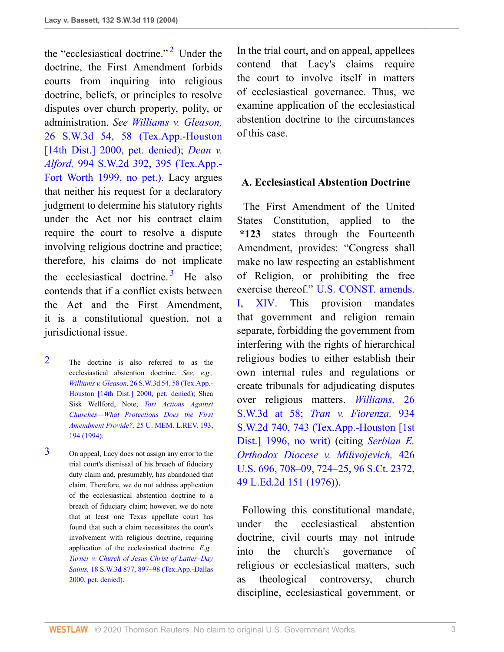the "ecclesiastical doctrine."<sup>[2](#page-2-0)</sup> Under the doctrine, the First Amendment forbids courts from inquiring into religious doctrine, beliefs, or principles to resolve disputes over church property, polity, or administration. *See [Williams v. Gleason,](http://www.westlaw.com/Link/Document/FullText?findType=Y&serNum=2000440585&pubNum=0004644&originatingDoc=Ia9eb3717e7e211d99439b076ef9ec4de&refType=RP&fi=co_pp_sp_4644_58&originationContext=document&vr=3.0&rs=cblt1.0&transitionType=DocumentItem&contextData=(sc.UserEnteredCitation)#co_pp_sp_4644_58)* [26 S.W.3d 54, 58 \(Tex.App.-Houston](http://www.westlaw.com/Link/Document/FullText?findType=Y&serNum=2000440585&pubNum=0004644&originatingDoc=Ia9eb3717e7e211d99439b076ef9ec4de&refType=RP&fi=co_pp_sp_4644_58&originationContext=document&vr=3.0&rs=cblt1.0&transitionType=DocumentItem&contextData=(sc.UserEnteredCitation)#co_pp_sp_4644_58) [\[14th Dist.\] 2000, pet. denied\)](http://www.westlaw.com/Link/Document/FullText?findType=Y&serNum=2000440585&pubNum=0004644&originatingDoc=Ia9eb3717e7e211d99439b076ef9ec4de&refType=RP&fi=co_pp_sp_4644_58&originationContext=document&vr=3.0&rs=cblt1.0&transitionType=DocumentItem&contextData=(sc.UserEnteredCitation)#co_pp_sp_4644_58); *[Dean v.](http://www.westlaw.com/Link/Document/FullText?findType=Y&serNum=1999137616&pubNum=0000713&originatingDoc=Ia9eb3717e7e211d99439b076ef9ec4de&refType=RP&fi=co_pp_sp_713_395&originationContext=document&vr=3.0&rs=cblt1.0&transitionType=DocumentItem&contextData=(sc.UserEnteredCitation)#co_pp_sp_713_395) Alford,* [994 S.W.2d 392, 395 \(Tex.App.-](http://www.westlaw.com/Link/Document/FullText?findType=Y&serNum=1999137616&pubNum=0000713&originatingDoc=Ia9eb3717e7e211d99439b076ef9ec4de&refType=RP&fi=co_pp_sp_713_395&originationContext=document&vr=3.0&rs=cblt1.0&transitionType=DocumentItem&contextData=(sc.UserEnteredCitation)#co_pp_sp_713_395) [Fort Worth 1999, no pet.\).](http://www.westlaw.com/Link/Document/FullText?findType=Y&serNum=1999137616&pubNum=0000713&originatingDoc=Ia9eb3717e7e211d99439b076ef9ec4de&refType=RP&fi=co_pp_sp_713_395&originationContext=document&vr=3.0&rs=cblt1.0&transitionType=DocumentItem&contextData=(sc.UserEnteredCitation)#co_pp_sp_713_395) Lacy argues that neither his request for a declaratory judgment to determine his statutory rights under the Act nor his contract claim require the court to resolve a dispute involving religious doctrine and practice; therefore, his claims do not implicate the ecclesiastical doctrine.<sup>[3](#page-2-1)</sup> He also contends that if a conflict exists between the Act and the First Amendment, it is a constitutional question, not a jurisdictional issue.

- <span id="page-2-0"></span>[2](#page-2-2) The doctrine is also referred to as the ecclesiastical abstention doctrine. *See, e.g., Williams v. Gleason,* [26 S.W.3d 54, 58 \(Tex.App.-](http://www.westlaw.com/Link/Document/FullText?findType=Y&serNum=2000440585&pubNum=0004644&originatingDoc=Ia9eb3717e7e211d99439b076ef9ec4de&refType=RP&fi=co_pp_sp_4644_58&originationContext=document&vr=3.0&rs=cblt1.0&transitionType=DocumentItem&contextData=(sc.UserEnteredCitation)#co_pp_sp_4644_58) [Houston \[14th Dist.\] 2000, pet. denied\);](http://www.westlaw.com/Link/Document/FullText?findType=Y&serNum=2000440585&pubNum=0004644&originatingDoc=Ia9eb3717e7e211d99439b076ef9ec4de&refType=RP&fi=co_pp_sp_4644_58&originationContext=document&vr=3.0&rs=cblt1.0&transitionType=DocumentItem&contextData=(sc.UserEnteredCitation)#co_pp_sp_4644_58) Shea Sisk Wellford, Note, *[Tort Actions Against](http://www.westlaw.com/Link/Document/FullText?findType=Y&serNum=0104911718&pubNum=0105911&originatingDoc=Ia9eb3717e7e211d99439b076ef9ec4de&refType=LR&fi=co_pp_sp_105911_194&originationContext=document&vr=3.0&rs=cblt1.0&transitionType=DocumentItem&contextData=(sc.UserEnteredCitation)#co_pp_sp_105911_194) [Churches—What Protections Does the First](http://www.westlaw.com/Link/Document/FullText?findType=Y&serNum=0104911718&pubNum=0105911&originatingDoc=Ia9eb3717e7e211d99439b076ef9ec4de&refType=LR&fi=co_pp_sp_105911_194&originationContext=document&vr=3.0&rs=cblt1.0&transitionType=DocumentItem&contextData=(sc.UserEnteredCitation)#co_pp_sp_105911_194) Amendment Provide?,* [25 U. MEM. L.REV. 193,](http://www.westlaw.com/Link/Document/FullText?findType=Y&serNum=0104911718&pubNum=0105911&originatingDoc=Ia9eb3717e7e211d99439b076ef9ec4de&refType=LR&fi=co_pp_sp_105911_194&originationContext=document&vr=3.0&rs=cblt1.0&transitionType=DocumentItem&contextData=(sc.UserEnteredCitation)#co_pp_sp_105911_194) [194 \(1994\).](http://www.westlaw.com/Link/Document/FullText?findType=Y&serNum=0104911718&pubNum=0105911&originatingDoc=Ia9eb3717e7e211d99439b076ef9ec4de&refType=LR&fi=co_pp_sp_105911_194&originationContext=document&vr=3.0&rs=cblt1.0&transitionType=DocumentItem&contextData=(sc.UserEnteredCitation)#co_pp_sp_105911_194)
- <span id="page-2-1"></span>[3](#page-2-3) On appeal, Lacy does not assign any error to the trial court's dismissal of his breach of fiduciary duty claim and, presumably, has abandoned that claim. Therefore, we do not address application of the ecclesiastical abstention doctrine to a breach of fiduciary claim; however, we do note that at least one Texas appellate court has found that such a claim necessitates the court's involvement with religious doctrine, requiring application of the ecclesiastical doctrine. *E.g., [Turner v. Church of Jesus Christ of Latter–Day](http://www.westlaw.com/Link/Document/FullText?findType=Y&serNum=2000363266&pubNum=0004644&originatingDoc=Ia9eb3717e7e211d99439b076ef9ec4de&refType=RP&fi=co_pp_sp_4644_897&originationContext=document&vr=3.0&rs=cblt1.0&transitionType=DocumentItem&contextData=(sc.UserEnteredCitation)#co_pp_sp_4644_897) Saints,* [18 S.W.3d 877, 897–98 \(Tex.App.-Dallas](http://www.westlaw.com/Link/Document/FullText?findType=Y&serNum=2000363266&pubNum=0004644&originatingDoc=Ia9eb3717e7e211d99439b076ef9ec4de&refType=RP&fi=co_pp_sp_4644_897&originationContext=document&vr=3.0&rs=cblt1.0&transitionType=DocumentItem&contextData=(sc.UserEnteredCitation)#co_pp_sp_4644_897) [2000, pet. denied\).](http://www.westlaw.com/Link/Document/FullText?findType=Y&serNum=2000363266&pubNum=0004644&originatingDoc=Ia9eb3717e7e211d99439b076ef9ec4de&refType=RP&fi=co_pp_sp_4644_897&originationContext=document&vr=3.0&rs=cblt1.0&transitionType=DocumentItem&contextData=(sc.UserEnteredCitation)#co_pp_sp_4644_897)

<span id="page-2-2"></span>In the trial court, and on appeal, appellees contend that Lacy's claims require the court to involve itself in matters of ecclesiastical governance. Thus, we examine application of the ecclesiastical abstention doctrine to the circumstances of this case.

### **A. Ecclesiastical Abstention Doctrine**

<span id="page-2-3"></span> The First Amendment of the United States Constitution, applied to the **\*123** states through the Fourteenth Amendment, provides: "Congress shall make no law respecting an establishment of Religion, or prohibiting the free exercise thereof." [U.S. CONST. amends.](http://www.westlaw.com/Link/Document/FullText?findType=L&pubNum=1000583&cite=USCOAMENDI&originatingDoc=Ia9eb3717e7e211d99439b076ef9ec4de&refType=LQ&originationContext=document&vr=3.0&rs=cblt1.0&transitionType=DocumentItem&contextData=(sc.UserEnteredCitation)) [I](http://www.westlaw.com/Link/Document/FullText?findType=L&pubNum=1000583&cite=USCOAMENDI&originatingDoc=Ia9eb3717e7e211d99439b076ef9ec4de&refType=LQ&originationContext=document&vr=3.0&rs=cblt1.0&transitionType=DocumentItem&contextData=(sc.UserEnteredCitation)), [XIV.](http://www.westlaw.com/Link/Document/FullText?findType=L&pubNum=1000583&cite=USCOAMENDXIV&originatingDoc=Ia9eb3717e7e211d99439b076ef9ec4de&refType=LQ&originationContext=document&vr=3.0&rs=cblt1.0&transitionType=DocumentItem&contextData=(sc.UserEnteredCitation)) This provision mandates that government and religion remain separate, forbidding the government from interfering with the rights of hierarchical religious bodies to either establish their own internal rules and regulations or create tribunals for adjudicating disputes over religious matters. *[Williams,](http://www.westlaw.com/Link/Document/FullText?findType=Y&serNum=2000440585&pubNum=4644&originatingDoc=Ia9eb3717e7e211d99439b076ef9ec4de&refType=RP&fi=co_pp_sp_4644_58&originationContext=document&vr=3.0&rs=cblt1.0&transitionType=DocumentItem&contextData=(sc.UserEnteredCitation)#co_pp_sp_4644_58)* 26 [S.W.3d at 58;](http://www.westlaw.com/Link/Document/FullText?findType=Y&serNum=2000440585&pubNum=4644&originatingDoc=Ia9eb3717e7e211d99439b076ef9ec4de&refType=RP&fi=co_pp_sp_4644_58&originationContext=document&vr=3.0&rs=cblt1.0&transitionType=DocumentItem&contextData=(sc.UserEnteredCitation)#co_pp_sp_4644_58) *[Tran v. Fiorenza,](http://www.westlaw.com/Link/Document/FullText?findType=Y&serNum=1996195678&pubNum=0000713&originatingDoc=Ia9eb3717e7e211d99439b076ef9ec4de&refType=RP&fi=co_pp_sp_713_743&originationContext=document&vr=3.0&rs=cblt1.0&transitionType=DocumentItem&contextData=(sc.UserEnteredCitation)#co_pp_sp_713_743)* 934 [S.W.2d 740, 743 \(Tex.App.-Houston \[1st](http://www.westlaw.com/Link/Document/FullText?findType=Y&serNum=1996195678&pubNum=0000713&originatingDoc=Ia9eb3717e7e211d99439b076ef9ec4de&refType=RP&fi=co_pp_sp_713_743&originationContext=document&vr=3.0&rs=cblt1.0&transitionType=DocumentItem&contextData=(sc.UserEnteredCitation)#co_pp_sp_713_743) [Dist.\] 1996, no writ\)](http://www.westlaw.com/Link/Document/FullText?findType=Y&serNum=1996195678&pubNum=0000713&originatingDoc=Ia9eb3717e7e211d99439b076ef9ec4de&refType=RP&fi=co_pp_sp_713_743&originationContext=document&vr=3.0&rs=cblt1.0&transitionType=DocumentItem&contextData=(sc.UserEnteredCitation)#co_pp_sp_713_743) (citing *[Serbian E.](http://www.westlaw.com/Link/Document/FullText?findType=Y&serNum=1976142415&pubNum=0000708&originatingDoc=Ia9eb3717e7e211d99439b076ef9ec4de&refType=RP&originationContext=document&vr=3.0&rs=cblt1.0&transitionType=DocumentItem&contextData=(sc.UserEnteredCitation)) [Orthodox Diocese v. Milivojevich,](http://www.westlaw.com/Link/Document/FullText?findType=Y&serNum=1976142415&pubNum=0000708&originatingDoc=Ia9eb3717e7e211d99439b076ef9ec4de&refType=RP&originationContext=document&vr=3.0&rs=cblt1.0&transitionType=DocumentItem&contextData=(sc.UserEnteredCitation))* 426 [U.S. 696, 708–09, 724–25, 96 S.Ct. 2372,](http://www.westlaw.com/Link/Document/FullText?findType=Y&serNum=1976142415&pubNum=0000708&originatingDoc=Ia9eb3717e7e211d99439b076ef9ec4de&refType=RP&originationContext=document&vr=3.0&rs=cblt1.0&transitionType=DocumentItem&contextData=(sc.UserEnteredCitation)) [49 L.Ed.2d 151 \(1976\)\)](http://www.westlaw.com/Link/Document/FullText?findType=Y&serNum=1976142415&pubNum=0000708&originatingDoc=Ia9eb3717e7e211d99439b076ef9ec4de&refType=RP&originationContext=document&vr=3.0&rs=cblt1.0&transitionType=DocumentItem&contextData=(sc.UserEnteredCitation)).

 Following this constitutional mandate, under the ecclesiastical abstention doctrine, civil courts may not intrude into the church's governance of religious or ecclesiastical matters, such as theological controversy, church discipline, ecclesiastical government, or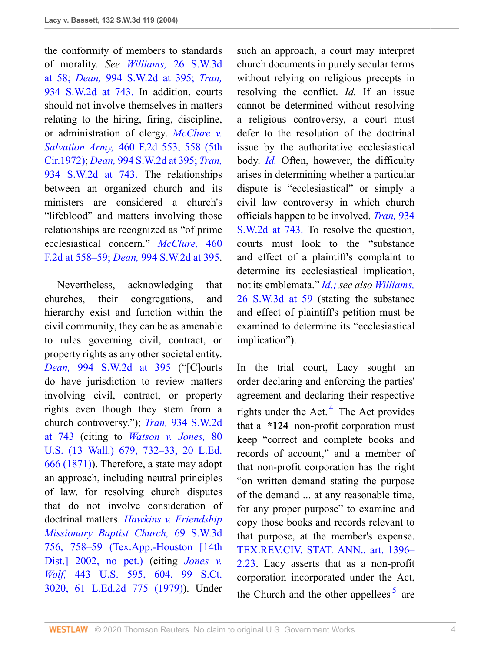the conformity of members to standards of morality. *See Williams,* [26 S.W.3d](http://www.westlaw.com/Link/Document/FullText?findType=Y&serNum=2000440585&pubNum=4644&originatingDoc=Ia9eb3717e7e211d99439b076ef9ec4de&refType=RP&fi=co_pp_sp_4644_58&originationContext=document&vr=3.0&rs=cblt1.0&transitionType=DocumentItem&contextData=(sc.UserEnteredCitation)#co_pp_sp_4644_58) [at 58;](http://www.westlaw.com/Link/Document/FullText?findType=Y&serNum=2000440585&pubNum=4644&originatingDoc=Ia9eb3717e7e211d99439b076ef9ec4de&refType=RP&fi=co_pp_sp_4644_58&originationContext=document&vr=3.0&rs=cblt1.0&transitionType=DocumentItem&contextData=(sc.UserEnteredCitation)#co_pp_sp_4644_58) *Dean,* [994 S.W.2d at 395;](http://www.westlaw.com/Link/Document/FullText?findType=Y&serNum=1999137616&pubNum=713&originatingDoc=Ia9eb3717e7e211d99439b076ef9ec4de&refType=RP&fi=co_pp_sp_713_395&originationContext=document&vr=3.0&rs=cblt1.0&transitionType=DocumentItem&contextData=(sc.UserEnteredCitation)#co_pp_sp_713_395) *[Tran,](http://www.westlaw.com/Link/Document/FullText?findType=Y&serNum=1996195678&pubNum=713&originatingDoc=Ia9eb3717e7e211d99439b076ef9ec4de&refType=RP&fi=co_pp_sp_713_743&originationContext=document&vr=3.0&rs=cblt1.0&transitionType=DocumentItem&contextData=(sc.UserEnteredCitation)#co_pp_sp_713_743)* [934 S.W.2d at 743.](http://www.westlaw.com/Link/Document/FullText?findType=Y&serNum=1996195678&pubNum=713&originatingDoc=Ia9eb3717e7e211d99439b076ef9ec4de&refType=RP&fi=co_pp_sp_713_743&originationContext=document&vr=3.0&rs=cblt1.0&transitionType=DocumentItem&contextData=(sc.UserEnteredCitation)#co_pp_sp_713_743) In addition, courts should not involve themselves in matters relating to the hiring, firing, discipline, or administration of clergy. *[McClure v.](http://www.westlaw.com/Link/Document/FullText?findType=Y&serNum=1972110070&pubNum=0000350&originatingDoc=Ia9eb3717e7e211d99439b076ef9ec4de&refType=RP&fi=co_pp_sp_350_558&originationContext=document&vr=3.0&rs=cblt1.0&transitionType=DocumentItem&contextData=(sc.UserEnteredCitation)#co_pp_sp_350_558) Salvation Army,* [460 F.2d 553, 558 \(5th](http://www.westlaw.com/Link/Document/FullText?findType=Y&serNum=1972110070&pubNum=0000350&originatingDoc=Ia9eb3717e7e211d99439b076ef9ec4de&refType=RP&fi=co_pp_sp_350_558&originationContext=document&vr=3.0&rs=cblt1.0&transitionType=DocumentItem&contextData=(sc.UserEnteredCitation)#co_pp_sp_350_558) [Cir.1972\)](http://www.westlaw.com/Link/Document/FullText?findType=Y&serNum=1972110070&pubNum=0000350&originatingDoc=Ia9eb3717e7e211d99439b076ef9ec4de&refType=RP&fi=co_pp_sp_350_558&originationContext=document&vr=3.0&rs=cblt1.0&transitionType=DocumentItem&contextData=(sc.UserEnteredCitation)#co_pp_sp_350_558); *Dean,* [994 S.W.2d at 395;](http://www.westlaw.com/Link/Document/FullText?findType=Y&serNum=1999137616&pubNum=713&originatingDoc=Ia9eb3717e7e211d99439b076ef9ec4de&refType=RP&fi=co_pp_sp_713_395&originationContext=document&vr=3.0&rs=cblt1.0&transitionType=DocumentItem&contextData=(sc.UserEnteredCitation)#co_pp_sp_713_395) *[Tran,](http://www.westlaw.com/Link/Document/FullText?findType=Y&serNum=1996195678&pubNum=713&originatingDoc=Ia9eb3717e7e211d99439b076ef9ec4de&refType=RP&fi=co_pp_sp_713_743&originationContext=document&vr=3.0&rs=cblt1.0&transitionType=DocumentItem&contextData=(sc.UserEnteredCitation)#co_pp_sp_713_743)* [934 S.W.2d at 743.](http://www.westlaw.com/Link/Document/FullText?findType=Y&serNum=1996195678&pubNum=713&originatingDoc=Ia9eb3717e7e211d99439b076ef9ec4de&refType=RP&fi=co_pp_sp_713_743&originationContext=document&vr=3.0&rs=cblt1.0&transitionType=DocumentItem&contextData=(sc.UserEnteredCitation)#co_pp_sp_713_743) The relationships between an organized church and its ministers are considered a church's "lifeblood" and matters involving those relationships are recognized as "of prime ecclesiastical concern." *[McClure,](http://www.westlaw.com/Link/Document/FullText?findType=Y&serNum=1972110070&pubNum=350&originatingDoc=Ia9eb3717e7e211d99439b076ef9ec4de&refType=RP&fi=co_pp_sp_350_558&originationContext=document&vr=3.0&rs=cblt1.0&transitionType=DocumentItem&contextData=(sc.UserEnteredCitation)#co_pp_sp_350_558)* 460 [F.2d at 558–59;](http://www.westlaw.com/Link/Document/FullText?findType=Y&serNum=1972110070&pubNum=350&originatingDoc=Ia9eb3717e7e211d99439b076ef9ec4de&refType=RP&fi=co_pp_sp_350_558&originationContext=document&vr=3.0&rs=cblt1.0&transitionType=DocumentItem&contextData=(sc.UserEnteredCitation)#co_pp_sp_350_558) *Dean,* [994 S.W.2d at 395.](http://www.westlaw.com/Link/Document/FullText?findType=Y&serNum=1999137616&pubNum=0000713&originatingDoc=Ia9eb3717e7e211d99439b076ef9ec4de&refType=RP&fi=co_pp_sp_713_395&originationContext=document&vr=3.0&rs=cblt1.0&transitionType=DocumentItem&contextData=(sc.UserEnteredCitation)#co_pp_sp_713_395)

 Nevertheless, acknowledging that churches, their congregations, and hierarchy exist and function within the civil community, they can be as amenable to rules governing civil, contract, or property rights as any other societal entity. *Dean,* [994 S.W.2d at 395](http://www.westlaw.com/Link/Document/FullText?findType=Y&serNum=1999137616&pubNum=0000713&originatingDoc=Ia9eb3717e7e211d99439b076ef9ec4de&refType=RP&fi=co_pp_sp_713_395&originationContext=document&vr=3.0&rs=cblt1.0&transitionType=DocumentItem&contextData=(sc.UserEnteredCitation)#co_pp_sp_713_395) ("[C]ourts do have jurisdiction to review matters involving civil, contract, or property rights even though they stem from a church controversy."); *Tran,* [934 S.W.2d](http://www.westlaw.com/Link/Document/FullText?findType=Y&serNum=1996195678&pubNum=0000713&originatingDoc=Ia9eb3717e7e211d99439b076ef9ec4de&refType=RP&fi=co_pp_sp_713_743&originationContext=document&vr=3.0&rs=cblt1.0&transitionType=DocumentItem&contextData=(sc.UserEnteredCitation)#co_pp_sp_713_743) [at 743](http://www.westlaw.com/Link/Document/FullText?findType=Y&serNum=1996195678&pubNum=0000713&originatingDoc=Ia9eb3717e7e211d99439b076ef9ec4de&refType=RP&fi=co_pp_sp_713_743&originationContext=document&vr=3.0&rs=cblt1.0&transitionType=DocumentItem&contextData=(sc.UserEnteredCitation)#co_pp_sp_713_743) (citing to *[Watson v. Jones,](http://www.westlaw.com/Link/Document/FullText?findType=Y&serNum=1871197890&pubNum=780&originatingDoc=Ia9eb3717e7e211d99439b076ef9ec4de&refType=RP&fi=co_pp_sp_780_732&originationContext=document&vr=3.0&rs=cblt1.0&transitionType=DocumentItem&contextData=(sc.UserEnteredCitation)#co_pp_sp_780_732)* 80 [U.S. \(13 Wall.\) 679, 732–33, 20 L.Ed.](http://www.westlaw.com/Link/Document/FullText?findType=Y&serNum=1871197890&pubNum=780&originatingDoc=Ia9eb3717e7e211d99439b076ef9ec4de&refType=RP&fi=co_pp_sp_780_732&originationContext=document&vr=3.0&rs=cblt1.0&transitionType=DocumentItem&contextData=(sc.UserEnteredCitation)#co_pp_sp_780_732) [666 \(1871\)](http://www.westlaw.com/Link/Document/FullText?findType=Y&serNum=1871197890&pubNum=780&originatingDoc=Ia9eb3717e7e211d99439b076ef9ec4de&refType=RP&fi=co_pp_sp_780_732&originationContext=document&vr=3.0&rs=cblt1.0&transitionType=DocumentItem&contextData=(sc.UserEnteredCitation)#co_pp_sp_780_732)). Therefore, a state may adopt an approach, including neutral principles of law, for resolving church disputes that do not involve consideration of doctrinal matters. *[Hawkins v. Friendship](http://www.westlaw.com/Link/Document/FullText?findType=Y&serNum=2002116651&pubNum=0004644&originatingDoc=Ia9eb3717e7e211d99439b076ef9ec4de&refType=RP&fi=co_pp_sp_4644_758&originationContext=document&vr=3.0&rs=cblt1.0&transitionType=DocumentItem&contextData=(sc.UserEnteredCitation)#co_pp_sp_4644_758) [Missionary Baptist Church,](http://www.westlaw.com/Link/Document/FullText?findType=Y&serNum=2002116651&pubNum=0004644&originatingDoc=Ia9eb3717e7e211d99439b076ef9ec4de&refType=RP&fi=co_pp_sp_4644_758&originationContext=document&vr=3.0&rs=cblt1.0&transitionType=DocumentItem&contextData=(sc.UserEnteredCitation)#co_pp_sp_4644_758)* 69 S.W.3d [756, 758–59 \(Tex.App.-Houston \[14th](http://www.westlaw.com/Link/Document/FullText?findType=Y&serNum=2002116651&pubNum=0004644&originatingDoc=Ia9eb3717e7e211d99439b076ef9ec4de&refType=RP&fi=co_pp_sp_4644_758&originationContext=document&vr=3.0&rs=cblt1.0&transitionType=DocumentItem&contextData=(sc.UserEnteredCitation)#co_pp_sp_4644_758) [Dist.\] 2002, no pet.\)](http://www.westlaw.com/Link/Document/FullText?findType=Y&serNum=2002116651&pubNum=0004644&originatingDoc=Ia9eb3717e7e211d99439b076ef9ec4de&refType=RP&fi=co_pp_sp_4644_758&originationContext=document&vr=3.0&rs=cblt1.0&transitionType=DocumentItem&contextData=(sc.UserEnteredCitation)#co_pp_sp_4644_758) (citing *[Jones v.](http://www.westlaw.com/Link/Document/FullText?findType=Y&serNum=1979135177&pubNum=0000708&originatingDoc=Ia9eb3717e7e211d99439b076ef9ec4de&refType=RP&originationContext=document&vr=3.0&rs=cblt1.0&transitionType=DocumentItem&contextData=(sc.UserEnteredCitation)) Wolf,* [443 U.S. 595, 604, 99 S.Ct.](http://www.westlaw.com/Link/Document/FullText?findType=Y&serNum=1979135177&pubNum=0000708&originatingDoc=Ia9eb3717e7e211d99439b076ef9ec4de&refType=RP&originationContext=document&vr=3.0&rs=cblt1.0&transitionType=DocumentItem&contextData=(sc.UserEnteredCitation)) [3020, 61 L.Ed.2d 775 \(1979\)](http://www.westlaw.com/Link/Document/FullText?findType=Y&serNum=1979135177&pubNum=0000708&originatingDoc=Ia9eb3717e7e211d99439b076ef9ec4de&refType=RP&originationContext=document&vr=3.0&rs=cblt1.0&transitionType=DocumentItem&contextData=(sc.UserEnteredCitation))). Under

such an approach, a court may interpret church documents in purely secular terms without relying on religious precepts in resolving the conflict. *Id.* If an issue cannot be determined without resolving a religious controversy, a court must defer to the resolution of the doctrinal issue by the authoritative ecclesiastical body. *[Id.](http://www.westlaw.com/Link/Document/FullText?findType=Y&serNum=2002116651&originatingDoc=Ia9eb3717e7e211d99439b076ef9ec4de&refType=RP&originationContext=document&vr=3.0&rs=cblt1.0&transitionType=DocumentItem&contextData=(sc.UserEnteredCitation))* Often, however, the difficulty arises in determining whether a particular dispute is "ecclesiastical" or simply a civil law controversy in which church officials happen to be involved. *[Tran,](http://www.westlaw.com/Link/Document/FullText?findType=Y&serNum=1996195678&pubNum=713&originatingDoc=Ia9eb3717e7e211d99439b076ef9ec4de&refType=RP&fi=co_pp_sp_713_743&originationContext=document&vr=3.0&rs=cblt1.0&transitionType=DocumentItem&contextData=(sc.UserEnteredCitation)#co_pp_sp_713_743)* 934 [S.W.2d at 743.](http://www.westlaw.com/Link/Document/FullText?findType=Y&serNum=1996195678&pubNum=713&originatingDoc=Ia9eb3717e7e211d99439b076ef9ec4de&refType=RP&fi=co_pp_sp_713_743&originationContext=document&vr=3.0&rs=cblt1.0&transitionType=DocumentItem&contextData=(sc.UserEnteredCitation)#co_pp_sp_713_743) To resolve the question, courts must look to the "substance and effect of a plaintiff's complaint to determine its ecclesiastical implication, not its emblemata." *[Id.;](http://www.westlaw.com/Link/Document/FullText?findType=Y&serNum=1996195678&originatingDoc=Ia9eb3717e7e211d99439b076ef9ec4de&refType=RP&originationContext=document&vr=3.0&rs=cblt1.0&transitionType=DocumentItem&contextData=(sc.UserEnteredCitation)) see also [Williams,](http://www.westlaw.com/Link/Document/FullText?findType=Y&serNum=2000440585&pubNum=0004644&originatingDoc=Ia9eb3717e7e211d99439b076ef9ec4de&refType=RP&fi=co_pp_sp_4644_59&originationContext=document&vr=3.0&rs=cblt1.0&transitionType=DocumentItem&contextData=(sc.UserEnteredCitation)#co_pp_sp_4644_59)* [26 S.W.3d at 59](http://www.westlaw.com/Link/Document/FullText?findType=Y&serNum=2000440585&pubNum=0004644&originatingDoc=Ia9eb3717e7e211d99439b076ef9ec4de&refType=RP&fi=co_pp_sp_4644_59&originationContext=document&vr=3.0&rs=cblt1.0&transitionType=DocumentItem&contextData=(sc.UserEnteredCitation)#co_pp_sp_4644_59) (stating the substance and effect of plaintiff's petition must be examined to determine its "ecclesiastical implication").

<span id="page-3-1"></span><span id="page-3-0"></span>In the trial court, Lacy sought an order declaring and enforcing the parties' agreement and declaring their respective rights under the Act.<sup>[4](#page-4-0)</sup> The Act provides that a **\*124** non-profit corporation must keep "correct and complete books and records of account," and a member of that non-profit corporation has the right "on written demand stating the purpose of the demand ... at any reasonable time, for any proper purpose" to examine and copy those books and records relevant to that purpose, at the member's expense. [TEX.REV.CIV. STAT. ANN.. art. 1396–](http://www.westlaw.com/Link/Document/FullText?findType=L&pubNum=1000188&cite=TXCSART1396-2.23&originatingDoc=Ia9eb3717e7e211d99439b076ef9ec4de&refType=LQ&originationContext=document&vr=3.0&rs=cblt1.0&transitionType=DocumentItem&contextData=(sc.UserEnteredCitation)) [2.23.](http://www.westlaw.com/Link/Document/FullText?findType=L&pubNum=1000188&cite=TXCSART1396-2.23&originatingDoc=Ia9eb3717e7e211d99439b076ef9ec4de&refType=LQ&originationContext=document&vr=3.0&rs=cblt1.0&transitionType=DocumentItem&contextData=(sc.UserEnteredCitation)) Lacy asserts that as a non-profit corporation incorporated under the Act, the Church and the other appellees<sup>[5](#page-4-1)</sup> are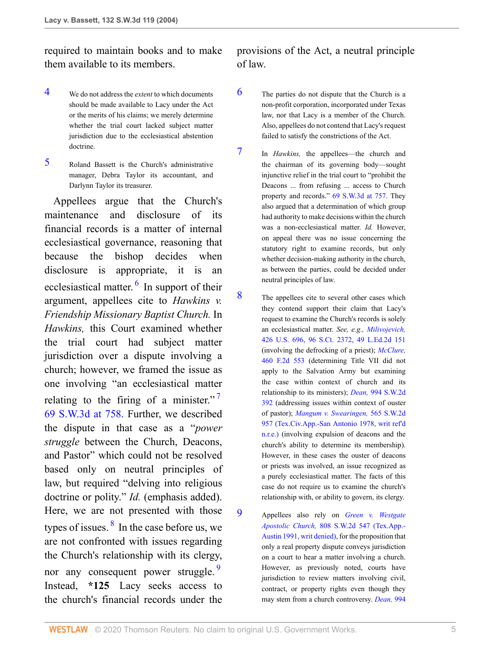required to maintain books and to make them available to its members.

- <span id="page-4-0"></span>[4](#page-3-0) We do not address the *extent* to which documents should be made available to Lacy under the Act or the merits of his claims; we merely determine whether the trial court lacked subject matter jurisdiction due to the ecclesiastical abstention doctrine.
- <span id="page-4-1"></span>[5](#page-3-1) Roland Bassett is the Church's administrative manager, Debra Taylor its accountant, and Darlynn Taylor its treasurer.

 Appellees argue that the Church's maintenance and disclosure of its financial records is a matter of internal ecclesiastical governance, reasoning that because the bishop decides when disclosure is appropriate, it is an ecclesiastical matter. <sup>[6](#page-4-2)</sup> In support of their argument, appellees cite to *Hawkins v. Friendship Missionary Baptist Church.* In *Hawkins,* this Court examined whether the trial court had subject matter jurisdiction over a dispute involving a church; however, we framed the issue as one involving "an ecclesiastical matter relating to the firing of a minister."<sup>[7](#page-4-3)</sup> [69 S.W.3d at 758.](http://www.westlaw.com/Link/Document/FullText?findType=Y&serNum=2002116651&pubNum=4644&originatingDoc=Ia9eb3717e7e211d99439b076ef9ec4de&refType=RP&fi=co_pp_sp_4644_758&originationContext=document&vr=3.0&rs=cblt1.0&transitionType=DocumentItem&contextData=(sc.UserEnteredCitation)#co_pp_sp_4644_758) Further, we described the dispute in that case as a "*power struggle* between the Church, Deacons, and Pastor" which could not be resolved based only on neutral principles of law, but required "delving into religious doctrine or polity." *Id.* (emphasis added). Here, we are not presented with those types of issues. <sup>[8](#page-4-4)</sup> In the case before us, we are not confronted with issues regarding the Church's relationship with its clergy, nor any consequent power struggle. Instead, **\*125** Lacy seeks access to the church's financial records under the

provisions of the Act, a neutral principle of law.

- <span id="page-4-2"></span>[6](#page-4-6) The parties do not dispute that the Church is a non-profit corporation, incorporated under Texas law, nor that Lacy is a member of the Church. Also, appellees do not contend that Lacy's request failed to satisfy the constrictions of the Act.
- <span id="page-4-3"></span>[7](#page-4-7) In *Hawkins,* the appellees—the church and the chairman of its governing body—sought injunctive relief in the trial court to "prohibit the Deacons ... from refusing ... access to Church property and records." [69 S.W.3d at 757.](http://www.westlaw.com/Link/Document/FullText?findType=Y&serNum=2002116651&pubNum=4644&originatingDoc=Ia9eb3717e7e211d99439b076ef9ec4de&refType=RP&fi=co_pp_sp_4644_757&originationContext=document&vr=3.0&rs=cblt1.0&transitionType=DocumentItem&contextData=(sc.UserEnteredCitation)#co_pp_sp_4644_757) They also argued that a determination of which group had authority to make decisions within the church was a non-ecclesiastical matter. *Id.* However, on appeal there was no issue concerning the statutory right to examine records, but only whether decision-making authority in the church, as between the parties, could be decided under neutral principles of law.
- <span id="page-4-7"></span><span id="page-4-6"></span><span id="page-4-4"></span>[8](#page-4-8) The appellees cite to several other cases which they contend support their claim that Lacy's request to examine the Church's records is solely an ecclesiastical matter. *See, e.g., [Milivojevich,](http://www.westlaw.com/Link/Document/FullText?findType=Y&serNum=1976142415&pubNum=0000708&originatingDoc=Ia9eb3717e7e211d99439b076ef9ec4de&refType=RP&originationContext=document&vr=3.0&rs=cblt1.0&transitionType=DocumentItem&contextData=(sc.UserEnteredCitation))* [426 U.S. 696, 96 S.Ct. 2372, 49 L.Ed.2d 151](http://www.westlaw.com/Link/Document/FullText?findType=Y&serNum=1976142415&pubNum=0000708&originatingDoc=Ia9eb3717e7e211d99439b076ef9ec4de&refType=RP&originationContext=document&vr=3.0&rs=cblt1.0&transitionType=DocumentItem&contextData=(sc.UserEnteredCitation)) (involving the defrocking of a priest); *[McClure,](http://www.westlaw.com/Link/Document/FullText?findType=Y&serNum=1972110070&pubNum=0000350&originatingDoc=Ia9eb3717e7e211d99439b076ef9ec4de&refType=RP&originationContext=document&vr=3.0&rs=cblt1.0&transitionType=DocumentItem&contextData=(sc.UserEnteredCitation))* [460 F.2d 553](http://www.westlaw.com/Link/Document/FullText?findType=Y&serNum=1972110070&pubNum=0000350&originatingDoc=Ia9eb3717e7e211d99439b076ef9ec4de&refType=RP&originationContext=document&vr=3.0&rs=cblt1.0&transitionType=DocumentItem&contextData=(sc.UserEnteredCitation)) (determining Title VII did not apply to the Salvation Army but examining the case within context of church and its relationship to its ministers); *Dean,* [994 S.W.2d](http://www.westlaw.com/Link/Document/FullText?findType=Y&serNum=1999137616&pubNum=0000713&originatingDoc=Ia9eb3717e7e211d99439b076ef9ec4de&refType=RP&originationContext=document&vr=3.0&rs=cblt1.0&transitionType=DocumentItem&contextData=(sc.UserEnteredCitation)) [392](http://www.westlaw.com/Link/Document/FullText?findType=Y&serNum=1999137616&pubNum=0000713&originatingDoc=Ia9eb3717e7e211d99439b076ef9ec4de&refType=RP&originationContext=document&vr=3.0&rs=cblt1.0&transitionType=DocumentItem&contextData=(sc.UserEnteredCitation)) (addressing issues within context of ouster of pastor); *[Mangum v. Swearingen,](http://www.westlaw.com/Link/Document/FullText?findType=Y&serNum=1978112188&pubNum=0000713&originatingDoc=Ia9eb3717e7e211d99439b076ef9ec4de&refType=RP&originationContext=document&vr=3.0&rs=cblt1.0&transitionType=DocumentItem&contextData=(sc.UserEnteredCitation))* 565 S.W.2d [957 \(Tex.Civ.App.-San Antonio 1978, writ ref'd](http://www.westlaw.com/Link/Document/FullText?findType=Y&serNum=1978112188&pubNum=0000713&originatingDoc=Ia9eb3717e7e211d99439b076ef9ec4de&refType=RP&originationContext=document&vr=3.0&rs=cblt1.0&transitionType=DocumentItem&contextData=(sc.UserEnteredCitation)) [n.r.e.\)](http://www.westlaw.com/Link/Document/FullText?findType=Y&serNum=1978112188&pubNum=0000713&originatingDoc=Ia9eb3717e7e211d99439b076ef9ec4de&refType=RP&originationContext=document&vr=3.0&rs=cblt1.0&transitionType=DocumentItem&contextData=(sc.UserEnteredCitation)) (involving expulsion of deacons and the church's ability to determine its membership). However, in these cases the ouster of deacons or priests was involved, an issue recognized as a purely ecclesiastical matter. The facts of this case do not require us to examine the church's relationship with, or ability to govern, its clergy.
- <span id="page-4-9"></span><span id="page-4-8"></span><span id="page-4-5"></span>[9](#page-4-9) Appellees also rely on *[Green v. Westgate](http://www.westlaw.com/Link/Document/FullText?findType=Y&serNum=1991072064&pubNum=0000713&originatingDoc=Ia9eb3717e7e211d99439b076ef9ec4de&refType=RP&originationContext=document&vr=3.0&rs=cblt1.0&transitionType=DocumentItem&contextData=(sc.UserEnteredCitation)) Apostolic Church,* [808 S.W.2d 547 \(Tex.App.-](http://www.westlaw.com/Link/Document/FullText?findType=Y&serNum=1991072064&pubNum=0000713&originatingDoc=Ia9eb3717e7e211d99439b076ef9ec4de&refType=RP&originationContext=document&vr=3.0&rs=cblt1.0&transitionType=DocumentItem&contextData=(sc.UserEnteredCitation)) [Austin 1991, writ denied\)](http://www.westlaw.com/Link/Document/FullText?findType=Y&serNum=1991072064&pubNum=0000713&originatingDoc=Ia9eb3717e7e211d99439b076ef9ec4de&refType=RP&originationContext=document&vr=3.0&rs=cblt1.0&transitionType=DocumentItem&contextData=(sc.UserEnteredCitation)), for the proposition that only a real property dispute conveys jurisdiction on a court to hear a matter involving a church. However, as previously noted, courts have jurisdiction to review matters involving civil, contract, or property rights even though they may stem from a church controversy. *[Dean,](http://www.westlaw.com/Link/Document/FullText?findType=Y&serNum=1999137616&pubNum=713&originatingDoc=Ia9eb3717e7e211d99439b076ef9ec4de&refType=RP&fi=co_pp_sp_713_395&originationContext=document&vr=3.0&rs=cblt1.0&transitionType=DocumentItem&contextData=(sc.UserEnteredCitation)#co_pp_sp_713_395)* 994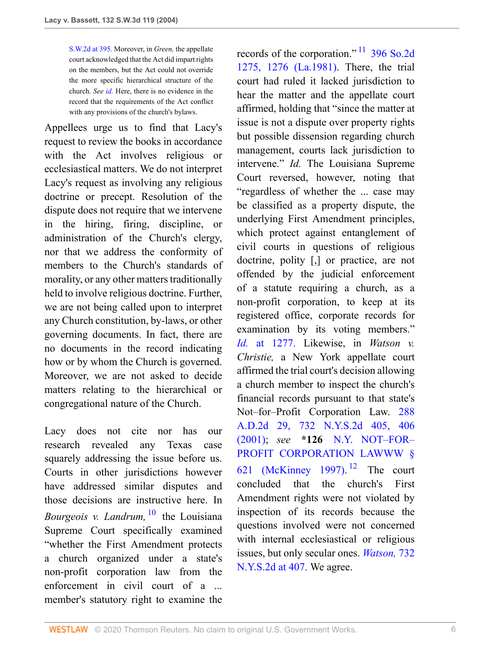[S.W.2d at 395.](http://www.westlaw.com/Link/Document/FullText?findType=Y&serNum=1999137616&pubNum=713&originatingDoc=Ia9eb3717e7e211d99439b076ef9ec4de&refType=RP&fi=co_pp_sp_713_395&originationContext=document&vr=3.0&rs=cblt1.0&transitionType=DocumentItem&contextData=(sc.UserEnteredCitation)#co_pp_sp_713_395) Moreover, in *Green,* the appellate court acknowledged that the Act did impart rights on the members, but the Act could not override the more specific hierarchical structure of the church. *See [id.](http://www.westlaw.com/Link/Document/FullText?findType=Y&serNum=1991072064&originatingDoc=Ia9eb3717e7e211d99439b076ef9ec4de&refType=RP&originationContext=document&vr=3.0&rs=cblt1.0&transitionType=DocumentItem&contextData=(sc.UserEnteredCitation))* Here, there is no evidence in the record that the requirements of the Act conflict with any provisions of the church's bylaws.

Appellees urge us to find that Lacy's request to review the books in accordance with the Act involves religious or ecclesiastical matters. We do not interpret Lacy's request as involving any religious doctrine or precept. Resolution of the dispute does not require that we intervene in the hiring, firing, discipline, or administration of the Church's clergy, nor that we address the conformity of members to the Church's standards of morality, or any other matters traditionally held to involve religious doctrine. Further, we are not being called upon to interpret any Church constitution, by-laws, or other governing documents. In fact, there are no documents in the record indicating how or by whom the Church is governed. Moreover, we are not asked to decide matters relating to the hierarchical or congregational nature of the Church.

<span id="page-5-2"></span><span id="page-5-0"></span>Lacy does not cite nor has our research revealed any Texas case squarely addressing the issue before us. Courts in other jurisdictions however have addressed similar disputes and those decisions are instructive here. In *Bourgeois v. Landrum,* [10](#page-6-0) the Louisiana Supreme Court specifically examined "whether the First Amendment protects a church organized under a state's non-profit corporation law from the enforcement in civil court of a ... member's statutory right to examine the

<span id="page-5-1"></span>records of the corporation."  $\frac{11}{1}$  $\frac{11}{1}$  $\frac{11}{1}$  [396 So.2d](http://www.westlaw.com/Link/Document/FullText?findType=Y&serNum=1981117709&pubNum=0000735&originatingDoc=Ia9eb3717e7e211d99439b076ef9ec4de&refType=RP&fi=co_pp_sp_735_1276&originationContext=document&vr=3.0&rs=cblt1.0&transitionType=DocumentItem&contextData=(sc.UserEnteredCitation)#co_pp_sp_735_1276) [1275, 1276 \(La.1981\)](http://www.westlaw.com/Link/Document/FullText?findType=Y&serNum=1981117709&pubNum=0000735&originatingDoc=Ia9eb3717e7e211d99439b076ef9ec4de&refType=RP&fi=co_pp_sp_735_1276&originationContext=document&vr=3.0&rs=cblt1.0&transitionType=DocumentItem&contextData=(sc.UserEnteredCitation)#co_pp_sp_735_1276). There, the trial court had ruled it lacked jurisdiction to hear the matter and the appellate court affirmed, holding that "since the matter at issue is not a dispute over property rights but possible dissension regarding church management, courts lack jurisdiction to intervene." *Id.* The Louisiana Supreme Court reversed, however, noting that "regardless of whether the ... case may be classified as a property dispute, the underlying First Amendment principles, which protect against entanglement of civil courts in questions of religious doctrine, polity [,] or practice, are not offended by the judicial enforcement of a statute requiring a church, as a non-profit corporation, to keep at its registered office, corporate records for examination by its voting members." *Id.* [at 1277.](http://www.westlaw.com/Link/Document/FullText?findType=Y&serNum=1981117709&originatingDoc=Ia9eb3717e7e211d99439b076ef9ec4de&refType=RP&originationContext=document&vr=3.0&rs=cblt1.0&transitionType=DocumentItem&contextData=(sc.UserEnteredCitation)) Likewise, in *Watson v. Christie,* a New York appellate court affirmed the trial court's decision allowing a church member to inspect the church's financial records pursuant to that state's Not–for–Profit Corporation Law. [288](http://www.westlaw.com/Link/Document/FullText?findType=Y&serNum=2001936991&pubNum=0000602&originatingDoc=Ia9eb3717e7e211d99439b076ef9ec4de&refType=RP&fi=co_pp_sp_602_406&originationContext=document&vr=3.0&rs=cblt1.0&transitionType=DocumentItem&contextData=(sc.UserEnteredCitation)#co_pp_sp_602_406) [A.D.2d 29, 732 N.Y.S.2d 405, 406](http://www.westlaw.com/Link/Document/FullText?findType=Y&serNum=2001936991&pubNum=0000602&originatingDoc=Ia9eb3717e7e211d99439b076ef9ec4de&refType=RP&fi=co_pp_sp_602_406&originationContext=document&vr=3.0&rs=cblt1.0&transitionType=DocumentItem&contextData=(sc.UserEnteredCitation)#co_pp_sp_602_406) [\(2001\);](http://www.westlaw.com/Link/Document/FullText?findType=Y&serNum=2001936991&pubNum=0000602&originatingDoc=Ia9eb3717e7e211d99439b076ef9ec4de&refType=RP&fi=co_pp_sp_602_406&originationContext=document&vr=3.0&rs=cblt1.0&transitionType=DocumentItem&contextData=(sc.UserEnteredCitation)#co_pp_sp_602_406) *see* **\*126** [N.Y. NOT–FOR–](http://www.westlaw.com/Link/Document/FullText?findType=L&pubNum=1000112&cite=NYNPS621&originatingDoc=Ia9eb3717e7e211d99439b076ef9ec4de&refType=LQ&originationContext=document&vr=3.0&rs=cblt1.0&transitionType=DocumentItem&contextData=(sc.UserEnteredCitation)) [PROFIT CORPORATION LAWWW §](http://www.westlaw.com/Link/Document/FullText?findType=L&pubNum=1000112&cite=NYNPS621&originatingDoc=Ia9eb3717e7e211d99439b076ef9ec4de&refType=LQ&originationContext=document&vr=3.0&rs=cblt1.0&transitionType=DocumentItem&contextData=(sc.UserEnteredCitation)) [621 \(McKinney 1997\).](http://www.westlaw.com/Link/Document/FullText?findType=L&pubNum=1000112&cite=NYNPS621&originatingDoc=Ia9eb3717e7e211d99439b076ef9ec4de&refType=LQ&originationContext=document&vr=3.0&rs=cblt1.0&transitionType=DocumentItem&contextData=(sc.UserEnteredCitation))<sup>[12](#page-6-2)</sup> The court concluded that the church's First Amendment rights were not violated by inspection of its records because the questions involved were not concerned with internal ecclesiastical or religious issues, but only secular ones. *[Watson,](http://www.westlaw.com/Link/Document/FullText?findType=Y&serNum=2001936991&pubNum=602&originatingDoc=Ia9eb3717e7e211d99439b076ef9ec4de&refType=RP&fi=co_pp_sp_602_407&originationContext=document&vr=3.0&rs=cblt1.0&transitionType=DocumentItem&contextData=(sc.UserEnteredCitation)#co_pp_sp_602_407)* 732 [N.Y.S.2d at 407.](http://www.westlaw.com/Link/Document/FullText?findType=Y&serNum=2001936991&pubNum=602&originatingDoc=Ia9eb3717e7e211d99439b076ef9ec4de&refType=RP&fi=co_pp_sp_602_407&originationContext=document&vr=3.0&rs=cblt1.0&transitionType=DocumentItem&contextData=(sc.UserEnteredCitation)#co_pp_sp_602_407) We agree.